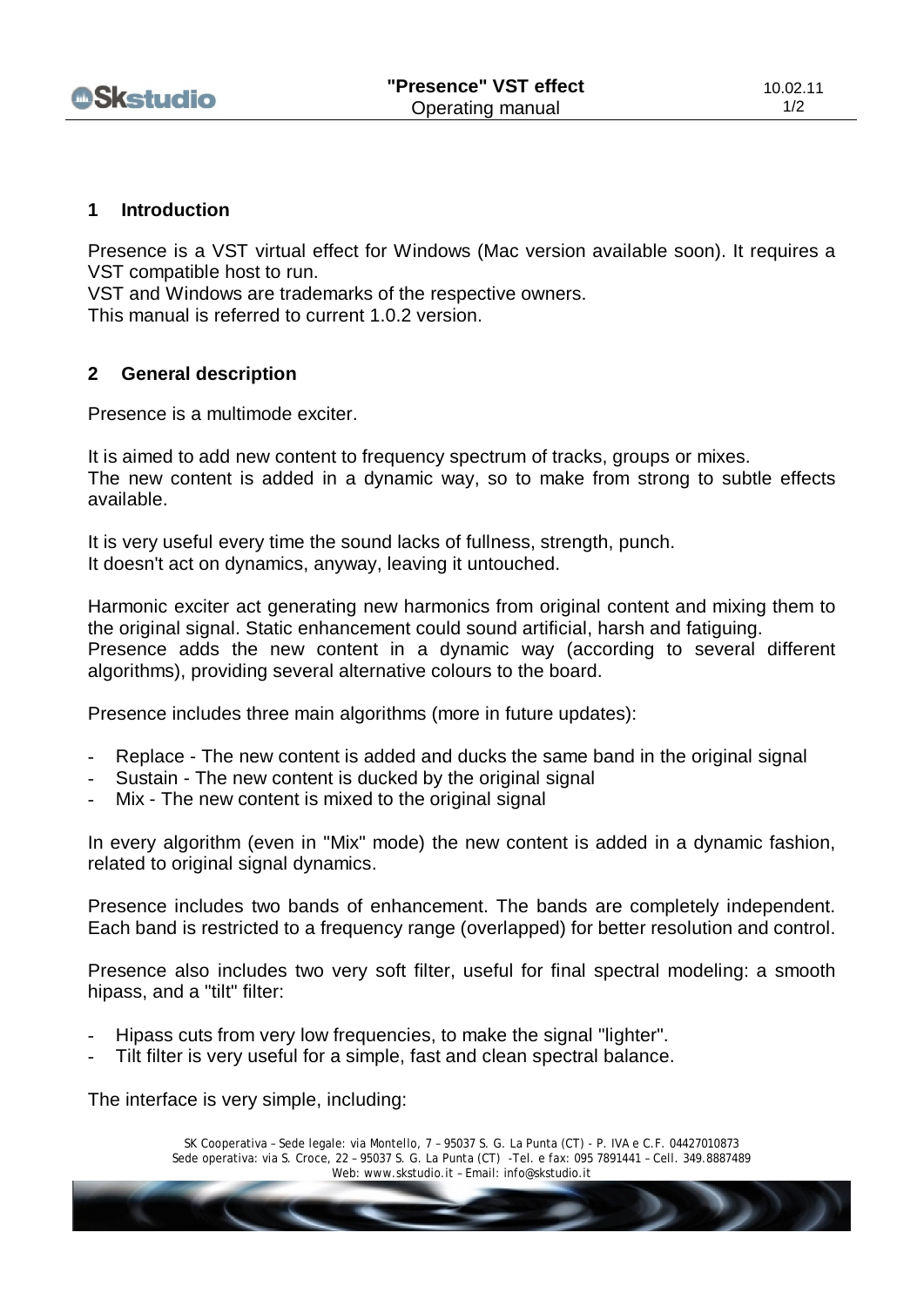

## **1 Introduction**

Presence is a VST virtual effect for Windows (Mac version available soon). It requires a VST compatible host to run.

VST and Windows are trademarks of the respective owners. This manual is referred to current 1.0.2 version.

## **2 General description**

Presence is a multimode exciter.

It is aimed to add new content to frequency spectrum of tracks, groups or mixes. The new content is added in a dynamic way, so to make from strong to subtle effects available.

It is very useful every time the sound lacks of fullness, strength, punch. It doesn't act on dynamics, anyway, leaving it untouched.

Harmonic exciter act generating new harmonics from original content and mixing them to the original signal. Static enhancement could sound artificial, harsh and fatiguing. Presence adds the new content in a dynamic way (according to several different algorithms), providing several alternative colours to the board.

Presence includes three main algorithms (more in future updates):

- Replace The new content is added and ducks the same band in the original signal
- Sustain The new content is ducked by the original signal
- Mix The new content is mixed to the original signal

In every algorithm (even in "Mix" mode) the new content is added in a dynamic fashion, related to original signal dynamics.

Presence includes two bands of enhancement. The bands are completely independent. Each band is restricted to a frequency range (overlapped) for better resolution and control.

Presence also includes two very soft filter, useful for final spectral modeling: a smooth hipass, and a "tilt" filter:

- Hipass cuts from very low frequencies, to make the signal "lighter".
- Tilt filter is very useful for a simple, fast and clean spectral balance.

The interface is very simple, including:

SK Cooperativa – Sede legale: via Montello, 7 – 95037 S. G. La Punta (CT) - P. IVA e C.F. 04427010873 Sede operativa: via S. Croce, 22 – 95037 S. G. La Punta (CT) -Tel. e fax: 095 7891441 – Cell. 349.8887489 Web: [www.skstudio.it](http://www.skstudio.it) – Email: [info@skstudio.it](mailto:info@skstudio.it)